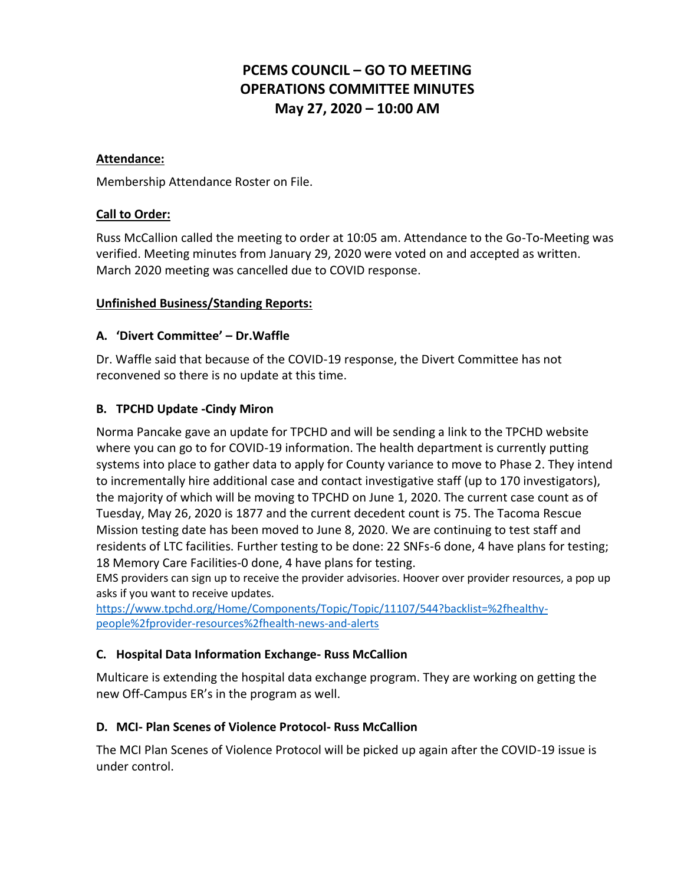# **PCEMS COUNCIL – GO TO MEETING OPERATIONS COMMITTEE MINUTES May 27, 2020 – 10:00 AM**

#### **Attendance:**

Membership Attendance Roster on File.

#### **Call to Order:**

Russ McCallion called the meeting to order at 10:05 am. Attendance to the Go-To-Meeting was verified. Meeting minutes from January 29, 2020 were voted on and accepted as written. March 2020 meeting was cancelled due to COVID response.

#### **Unfinished Business/Standing Reports:**

#### **A. 'Divert Committee' – Dr.Waffle**

Dr. Waffle said that because of the COVID-19 response, the Divert Committee has not reconvened so there is no update at this time.

#### **B. TPCHD Update -Cindy Miron**

Norma Pancake gave an update for TPCHD and will be sending a link to the TPCHD website where you can go to for COVID-19 information. The health department is currently putting systems into place to gather data to apply for County variance to move to Phase 2. They intend to incrementally hire additional case and contact investigative staff (up to 170 investigators), the majority of which will be moving to TPCHD on June 1, 2020. The current case count as of Tuesday, May 26, 2020 is 1877 and the current decedent count is 75. The Tacoma Rescue Mission testing date has been moved to June 8, 2020. We are continuing to test staff and residents of LTC facilities. Further testing to be done: 22 SNFs-6 done, 4 have plans for testing; 18 Memory Care Facilities-0 done, 4 have plans for testing.

EMS providers can sign up to receive the provider advisories. Hoover over provider resources, a pop up asks if you want to receive updates.

[https://www.tpchd.org/Home/Components/Topic/Topic/11107/544?backlist=%2fhealthy](https://www.tpchd.org/Home/Components/Topic/Topic/11107/544?backlist=%2fhealthy-people%2fprovider-resources%2fhealth-news-and-alerts)[people%2fprovider-resources%2fhealth-news-and-alerts](https://www.tpchd.org/Home/Components/Topic/Topic/11107/544?backlist=%2fhealthy-people%2fprovider-resources%2fhealth-news-and-alerts)

#### **C. Hospital Data Information Exchange- Russ McCallion**

Multicare is extending the hospital data exchange program. They are working on getting the new Off-Campus ER's in the program as well.

#### **D. MCI- Plan Scenes of Violence Protocol- Russ McCallion**

The MCI Plan Scenes of Violence Protocol will be picked up again after the COVID-19 issue is under control.